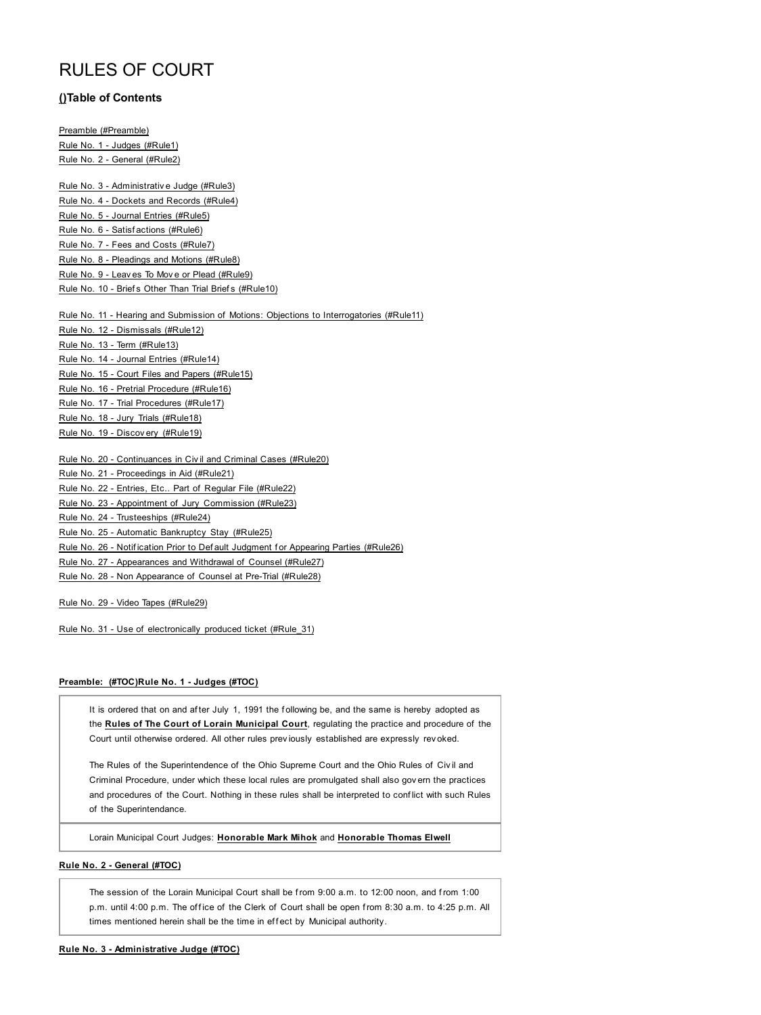# RULES OF COURT

# **()Table of Contents**

Preamble (#Preamble) Rule No. 1 - Judges (#Rule1) Rule No. 2 - General (#Rule2)

Rule No. 3 - Administrativ e Judge (#Rule3) Rule No. 4 - Dockets and Records (#Rule4) Rule No. 5 - Journal Entries (#Rule5) Rule No. 6 - Satisf actions (#Rule6) Rule No. 7 - Fees and Costs (#Rule7) Rule No. 8 - Pleadings and Motions (#Rule8) Rule No. 9 - Leav es To Mov e or Plead (#Rule9) Rule No. 10 - Briefs Other Than Trial Briefs (#Rule10)

Rule No. 11 - Hearing and Submission of Motions: Objections to Interrogatories (#Rule11) Rule No. 12 - Dismissals (#Rule12) Rule No. 13 - Term (#Rule13) Rule No. 14 - Journal Entries (#Rule14) Rule No. 15 - Court Files and Papers (#Rule15) Rule No. 16 - Pretrial Procedure (#Rule16) Rule No. 17 - Trial Procedures (#Rule17) Rule No. 18 - Jury Trials (#Rule18) Rule No. 19 - Discov ery (#Rule19)

Rule No. 20 - Continuances in Civ il and Criminal Cases (#Rule20)

Rule No. 21 - Proceedings in Aid (#Rule21)

Rule No. 22 - Entries, Etc.. Part of Regular File (#Rule22)

Rule No. 23 - Appointment of Jury Commission (#Rule23)

Rule No. 24 - Trusteeships (#Rule24)

Rule No. 25 - Automatic Bankruptcy Stay (#Rule25)

Rule No. 26 - Notification Prior to Default Judgment for Appearing Parties (#Rule26)

Rule No. 27 - Appearances and Withdrawal of Counsel (#Rule27)

Rule No. 28 - Non Appearance of Counsel at Pre-Trial (#Rule28)

Rule No. 29 - Video Tapes (#Rule29)

Rule No. 31 - Use of electronically produced ticket (#Rule\_31)

## **Preamble: (#TOC)Rule No. 1 - Judges (#TOC)**

It is ordered that on and af ter July 1, 1991 the f ollowing be, and the same is hereby adopted as the **Rules of The Court of Lorain Municipal Court**, regulating the practice and procedure of the Court until otherwise ordered. All other rules prev iously established are expressly rev oked.

The Rules of the Superintendence of the Ohio Supreme Court and the Ohio Rules of Civ il and Criminal Procedure, under which these local rules are promulgated shall also gov ern the practices and procedures of the Court. Nothing in these rules shall be interpreted to conf lict with such Rules of the Superintendance.

Lorain Municipal Court Judges: **Honorable Mark Mihok** and **Honorable Thomas Elwell**

# **Rule No. 2 - General (#TOC)**

The session of the Lorain Municipal Court shall be from 9:00 a.m. to 12:00 noon, and from 1:00 p.m. until 4:00 p.m. The office of the Clerk of Court shall be open from 8:30 a.m. to 4:25 p.m. All times mentioned herein shall be the time in effect by Municipal authority.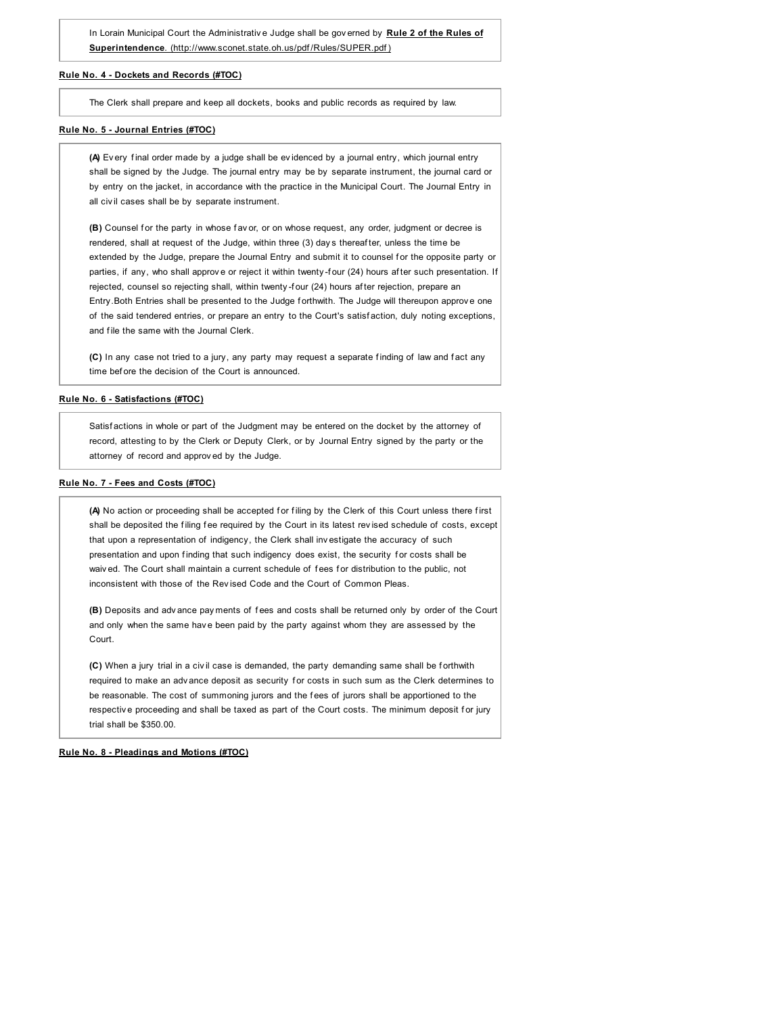In Lorain Municipal Court the Administrativ e Judge shall be gov erned by **Rule 2 of the Rules of Superintendence**. (http://www.sconet.state.oh.us/pdf /Rules/SUPER.pdf )

## **Rule No. 4 - Dockets and Records (#TOC)**

The Clerk shall prepare and keep all dockets, books and public records as required by law.

#### **Rule No. 5 - Journal Entries (#TOC)**

**(A)** Ev ery f inal order made by a judge shall be ev idenced by a journal entry, which journal entry shall be signed by the Judge. The journal entry may be by separate instrument, the journal card or by entry on the jacket, in accordance with the practice in the Municipal Court. The Journal Entry in all civ il cases shall be by separate instrument.

(B) Counsel for the party in whose fav or, or on whose request, any order, judgment or decree is rendered, shall at request of the Judge, within three (3) day s thereaf ter, unless the time be extended by the Judge, prepare the Journal Entry and submit it to counsel for the opposite party or parties, if any, who shall approve or reject it within twenty-four (24) hours after such presentation. If rejected, counsel so rejecting shall, within twenty -four (24) hours after rejection, prepare an Entry.Both Entries shall be presented to the Judge forthwith. The Judge will thereupon approve one of the said tendered entries, or prepare an entry to the Court's satisf action, duly noting exceptions, and file the same with the Journal Clerk.

**(C)** In any case not tried to a jury, any party may request a separate f inding of law and f act any time bef ore the decision of the Court is announced.

# **Rule No. 6 - Satisfactions (#TOC)**

Satisf actions in whole or part of the Judgment may be entered on the docket by the attorney of record, attesting to by the Clerk or Deputy Clerk, or by Journal Entry signed by the party or the attorney of record and approv ed by the Judge.

## **Rule No. 7 - Fees and Costs (#TOC)**

(A) No action or proceeding shall be accepted for filing by the Clerk of this Court unless there first shall be deposited the filing fee required by the Court in its latest revised schedule of costs, except that upon a representation of indigency, the Clerk shall inv estigate the accuracy of such presentation and upon finding that such indigency does exist, the security for costs shall be waiv ed. The Court shall maintain a current schedule of fees for distribution to the public, not inconsistent with those of the Rev ised Code and the Court of Common Pleas.

**(B)** Deposits and adv ance pay ments of f ees and costs shall be returned only by order of the Court and only when the same hav e been paid by the party against whom they are assessed by the Court.

**(C)** When a jury trial in a civ il case is demanded, the party demanding same shall be f orthwith required to make an advance deposit as security for costs in such sum as the Clerk determines to be reasonable. The cost of summoning jurors and the f ees of jurors shall be apportioned to the respective proceeding and shall be taxed as part of the Court costs. The minimum deposit for jury trial shall be \$350.00.

**Rule No. 8 - Pleadings and Motions (#TOC)**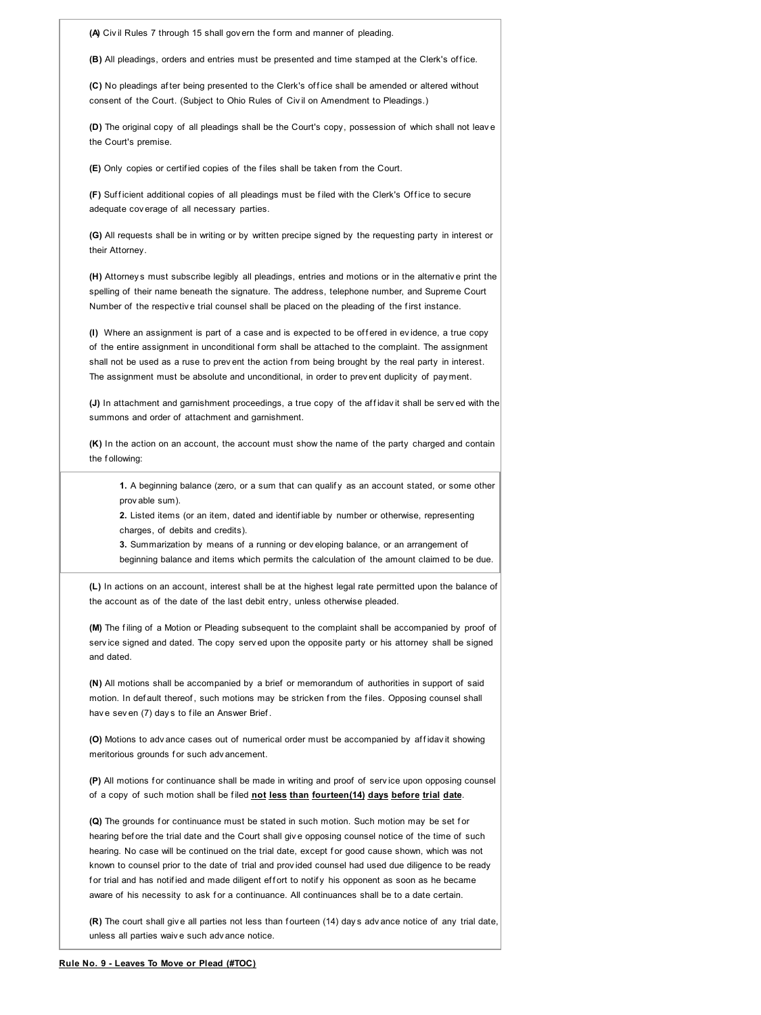| (A) Civil Rules 7 through 15 shall govern the form and manner of pleading.                                                                                                                                                                                                                                                                                                                                   |
|--------------------------------------------------------------------------------------------------------------------------------------------------------------------------------------------------------------------------------------------------------------------------------------------------------------------------------------------------------------------------------------------------------------|
| (B) All pleadings, orders and entries must be presented and time stamped at the Clerk's office.                                                                                                                                                                                                                                                                                                              |
| (C) No pleadings after being presented to the Clerk's office shall be amended or altered without<br>consent of the Court. (Subject to Ohio Rules of Civil on Amendment to Pleadings.)                                                                                                                                                                                                                        |
| (D) The original copy of all pleadings shall be the Court's copy, possession of which shall not leave<br>the Court's premise.                                                                                                                                                                                                                                                                                |
| (E) Only copies or certified copies of the files shall be taken from the Court.                                                                                                                                                                                                                                                                                                                              |
| (F) Sufficient additional copies of all pleadings must be filed with the Clerk's Office to secure<br>adequate coverage of all necessary parties.                                                                                                                                                                                                                                                             |
| (G) All requests shall be in writing or by written precipe signed by the requesting party in interest or<br>their Attorney.                                                                                                                                                                                                                                                                                  |
| (H) Attorneys must subscribe legibly all pleadings, entries and motions or in the alternative print the<br>spelling of their name beneath the signature. The address, telephone number, and Supreme Court<br>Number of the respective trial counsel shall be placed on the pleading of the first instance.                                                                                                   |
| (I) Where an assignment is part of a case and is expected to be offered in evidence, a true copy<br>of the entire assignment in unconditional form shall be attached to the complaint. The assignment<br>shall not be used as a ruse to prevent the action from being brought by the real party in interest.<br>The assignment must be absolute and unconditional, in order to prevent duplicity of payment. |
| (J) In attachment and garnishment proceedings, a true copy of the affidavit shall be served with the<br>summons and order of attachment and garnishment.                                                                                                                                                                                                                                                     |
|                                                                                                                                                                                                                                                                                                                                                                                                              |

**(K)** In the action on an account, the account must show the name of the party charged and contain the f ollowing:

**1.** A beginning balance (zero, or a sum that can qualif y as an account stated, or some other prov able sum).

**2.** Listed items (or an item, dated and identif iable by number or otherwise, representing charges, of debits and credits).

**3.** Summarization by means of a running or dev eloping balance, or an arrangement of beginning balance and items which permits the calculation of the amount claimed to be due.

**(L)** In actions on an account, interest shall be at the highest legal rate permitted upon the balance of the account as of the date of the last debit entry, unless otherwise pleaded.

**(M)** The f iling of a Motion or Pleading subsequent to the complaint shall be accompanied by proof of serv ice signed and dated. The copy serv ed upon the opposite party or his attorney shall be signed and dated.

**(N)** All motions shall be accompanied by a brief or memorandum of authorities in support of said motion. In def ault thereof, such motions may be stricken from the files. Opposing counsel shall have sev en (7) days to file an Answer Brief.

(O) Motions to adv ance cases out of numerical order must be accompanied by affidavit showing meritorious grounds for such advancement.

(P) All motions for continuance shall be made in writing and proof of service upon opposing counsel of a copy of such motion shall be f iled **not less than fourteen(14) days before trial date**.

(Q) The grounds for continuance must be stated in such motion. Such motion may be set for hearing bef ore the trial date and the Court shall giv e opposing counsel notice of the time of such hearing. No case will be continued on the trial date, except for good cause shown, which was not known to counsel prior to the date of trial and prov ided counsel had used due diligence to be ready for trial and has notified and made diligent effort to notify his opponent as soon as he became aware of his necessity to ask for a continuance. All continuances shall be to a date certain.

**(R)** The court shall giv e all parties not less than f ourteen (14) day s adv ance notice of any trial date, unless all parties waiv e such adv ance notice.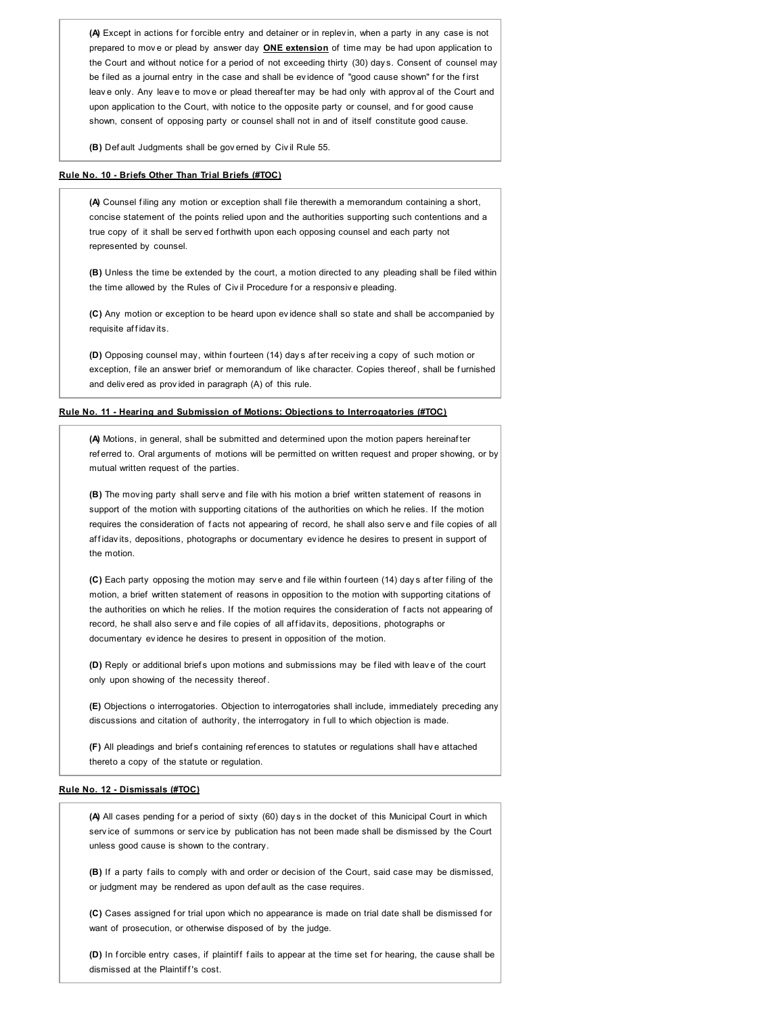(A) Except in actions for forcible entry and detainer or in replev in, when a party in any case is not prepared to mov e or plead by answer day **ONE extension** of time may be had upon application to the Court and without notice for a period of not exceeding thirty (30) days. Consent of counsel may be filed as a journal entry in the case and shall be evidence of "good cause shown" for the first leave only. Any leave to move or plead thereaf ter may be had only with approval of the Court and upon application to the Court, with notice to the opposite party or counsel, and for good cause shown, consent of opposing party or counsel shall not in and of itself constitute good cause.

**(B)** Def ault Judgments shall be gov erned by Civ il Rule 55.

## **Rule No. 10 - Briefs Other Than Trial Briefs (#TOC)**

**(A)** Counsel f iling any motion or exception shall f ile therewith a memorandum containing a short, concise statement of the points relied upon and the authorities supporting such contentions and a true copy of it shall be serv ed forthwith upon each opposing counsel and each party not represented by counsel.

**(B)** Unless the time be extended by the court, a motion directed to any pleading shall be f iled within the time allowed by the Rules of Civil Procedure for a responsive pleading.

**(C)** Any motion or exception to be heard upon ev idence shall so state and shall be accompanied by requisite affidavits.

**(D)** Opposing counsel may, within fourteen (14) day s after receiving a copy of such motion or exception, file an answer brief or memorandum of like character. Copies thereof, shall be furnished and deliv ered as prov ided in paragraph (A) of this rule.

## **Rule No. 11 - Hearing and Submission of Motions: Objections to Interrogatories (#TOC)**

**(A)** Motions, in general, shall be submitted and determined upon the motion papers hereinaf ter ref erred to. Oral arguments of motions will be permitted on written request and proper showing, or by mutual written request of the parties.

**(B)** The moving party shall serve and file with his motion a brief written statement of reasons in support of the motion with supporting citations of the authorities on which he relies. If the motion requires the consideration of facts not appearing of record, he shall also serve and file copies of all affidavits, depositions, photographs or documentary evidence he desires to present in support of the motion.

**(C)** Each party opposing the motion may serve and file within fourteen (14) days after filing of the motion, a brief written statement of reasons in opposition to the motion with supporting citations of the authorities on which he relies. If the motion requires the consideration of f acts not appearing of record, he shall also serve and file copies of all affidavits, depositions, photographs or documentary ev idence he desires to present in opposition of the motion.

**(D)** Reply or additional brief s upon motions and submissions may be f iled with leav e of the court only upon showing of the necessity thereof .

**(E)** Objections o interrogatories. Objection to interrogatories shall include, immediately preceding any discussions and citation of authority, the interrogatory in full to which objection is made.

**(F)** All pleadings and brief s containing ref erences to statutes or regulations shall hav e attached thereto a copy of the statute or regulation.

## **Rule No. 12 - Dismissals (#TOC)**

(A) All cases pending for a period of sixty (60) days in the docket of this Municipal Court in which serv ice of summons or serv ice by publication has not been made shall be dismissed by the Court unless good cause is shown to the contrary.

**(B)** If a party f ails to comply with and order or decision of the Court, said case may be dismissed, or judgment may be rendered as upon def ault as the case requires.

**(C)** Cases assigned for trial upon which no appearance is made on trial date shall be dismissed for want of prosecution, or otherwise disposed of by the judge.

**(D)** In forcible entry cases, if plaintiff fails to appear at the time set for hearing, the cause shall be dismissed at the Plaintiff's cost.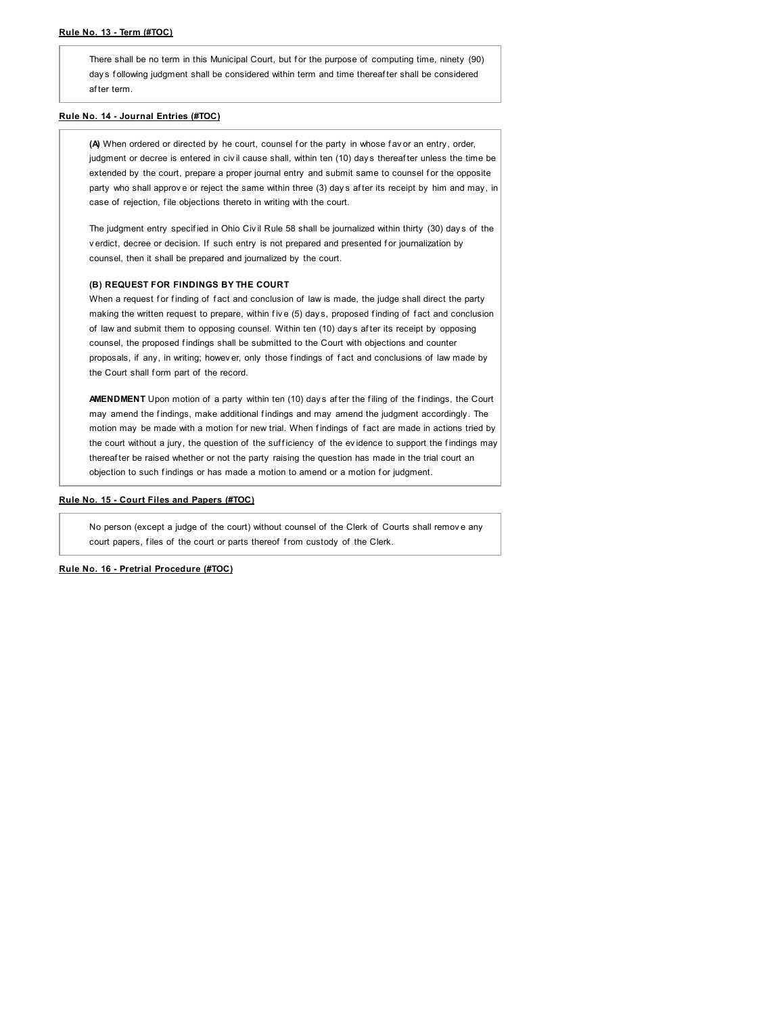#### **Rule No. 13 - Term (#TOC)**

There shall be no term in this Municipal Court, but for the purpose of computing time, ninety (90) day s following judgment shall be considered within term and time thereafter shall be considered af ter term.

## **Rule No. 14 - Journal Entries (#TOC)**

(A) When ordered or directed by he court, counsel for the party in whose fav or an entry, order, judgment or decree is entered in civil cause shall, within ten (10) days thereaf ter unless the time be extended by the court, prepare a proper journal entry and submit same to counsel for the opposite party who shall approv e or reject the same within three (3) day s af ter its receipt by him and may, in case of rejection, file objections thereto in writing with the court.

The judgment entry specified in Ohio Civil Rule 58 shall be journalized within thirty (30) days of the v erdict, decree or decision. If such entry is not prepared and presented for journalization by counsel, then it shall be prepared and journalized by the court.

## **(B) REQUEST FOR FINDINGS BY THE COURT**

When a request for finding of fact and conclusion of law is made, the judge shall direct the party making the written request to prepare, within five (5) days, proposed finding of fact and conclusion of law and submit them to opposing counsel. Within ten (10) day s af ter its receipt by opposing counsel, the proposed f indings shall be submitted to the Court with objections and counter proposals, if any, in writing; howev er, only those findings of fact and conclusions of law made by the Court shall form part of the record.

AMENDMENT Upon motion of a party within ten (10) days after the filing of the findings, the Court may amend the findings, make additional findings and may amend the judgment accordingly. The motion may be made with a motion for new trial. When findings of fact are made in actions tried by the court without a jury, the question of the sufficiency of the evidence to support the findings may thereafter be raised whether or not the party raising the question has made in the trial court an objection to such findings or has made a motion to amend or a motion for judgment.

#### **Rule No. 15 - Court Files and Papers (#TOC)**

No person (except a judge of the court) without counsel of the Clerk of Courts shall remove any court papers, files of the court or parts thereof from custody of the Clerk.

**Rule No. 16 - Pretrial Procedure (#TOC)**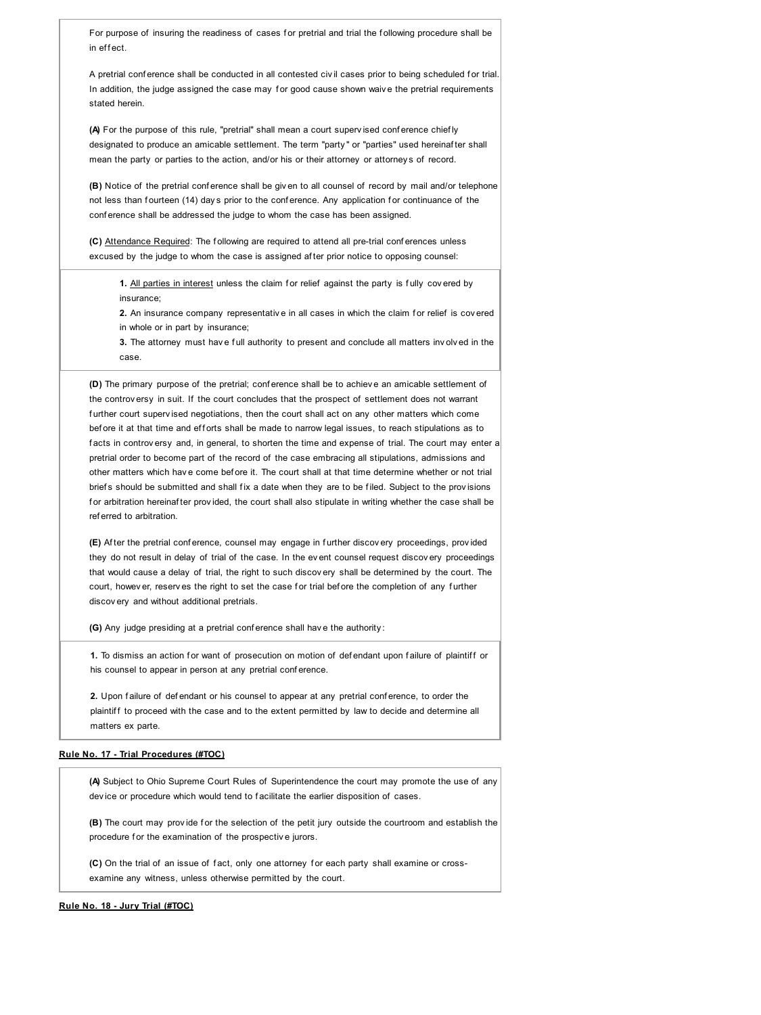For purpose of insuring the readiness of cases for pretrial and trial the following procedure shall be in effect.

A pretrial conference shall be conducted in all contested civil cases prior to being scheduled for trial In addition, the judge assigned the case may for good cause shown waive the pretrial requirements stated herein.

**(A)** For the purpose of this rule, "pretrial" shall mean a court superv ised conf erence chief ly designated to produce an amicable settlement. The term "party " or "parties" used hereinaf ter shall mean the party or parties to the action, and/or his or their attorney or attorney s of record.

**(B)** Notice of the pretrial conference shall be given to all counsel of record by mail and/or telephone not less than fourteen (14) days prior to the conference. Any application for continuance of the conf erence shall be addressed the judge to whom the case has been assigned.

**(C)** Attendance Required: The f ollowing are required to attend all pre-trial conf erences unless excused by the judge to whom the case is assigned af ter prior notice to opposing counsel:

**1.** All parties in interest unless the claim for relief against the party is fully covered by insurance;

**2.** An insurance company representative in all cases in which the claim for relief is covered in whole or in part by insurance;

**3.** The attorney must have full authority to present and conclude all matters involved in the case.

**(D)** The primary purpose of the pretrial; conf erence shall be to achiev e an amicable settlement of the controv ersy in suit. If the court concludes that the prospect of settlement does not warrant further court superv ised negotiations, then the court shall act on any other matters which come before it at that time and efforts shall be made to narrow legal issues, to reach stipulations as to facts in controv ersy and, in general, to shorten the time and expense of trial. The court may enter a pretrial order to become part of the record of the case embracing all stipulations, admissions and other matters which have come before it. The court shall at that time determine whether or not trial briefs should be submitted and shall fix a date when they are to be filed. Subject to the provisions f or arbitration hereinaf ter prov ided, the court shall also stipulate in writing whether the case shall be ref erred to arbitration.

**(E)** Af ter the pretrial conf erence, counsel may engage in f urther discov ery proceedings, prov ided they do not result in delay of trial of the case. In the ev ent counsel request discov ery proceedings that would cause a delay of trial, the right to such discov ery shall be determined by the court. The court, howev er, reserv es the right to set the case for trial before the completion of any further discov ery and without additional pretrials.

**(G)** Any judge presiding at a pretrial conf erence shall hav e the authority :

1. To dismiss an action for want of prosecution on motion of defendant upon failure of plaintiff or his counsel to appear in person at any pretrial conference.

2. Upon failure of defendant or his counsel to appear at any pretrial conference, to order the plaintiff to proceed with the case and to the extent permitted by law to decide and determine all matters ex parte.

## **Rule No. 17 - Trial Procedures (#TOC)**

**(A)** Subject to Ohio Supreme Court Rules of Superintendence the court may promote the use of any dev ice or procedure which would tend to f acilitate the earlier disposition of cases.

**(B)** The court may provide for the selection of the petit jury outside the courtroom and establish the procedure for the examination of the prospective jurors.

**(C)** On the trial of an issue of fact, only one attorney for each party shall examine or crossexamine any witness, unless otherwise permitted by the court.

**Rule No. 18 - Jury Trial (#TOC)**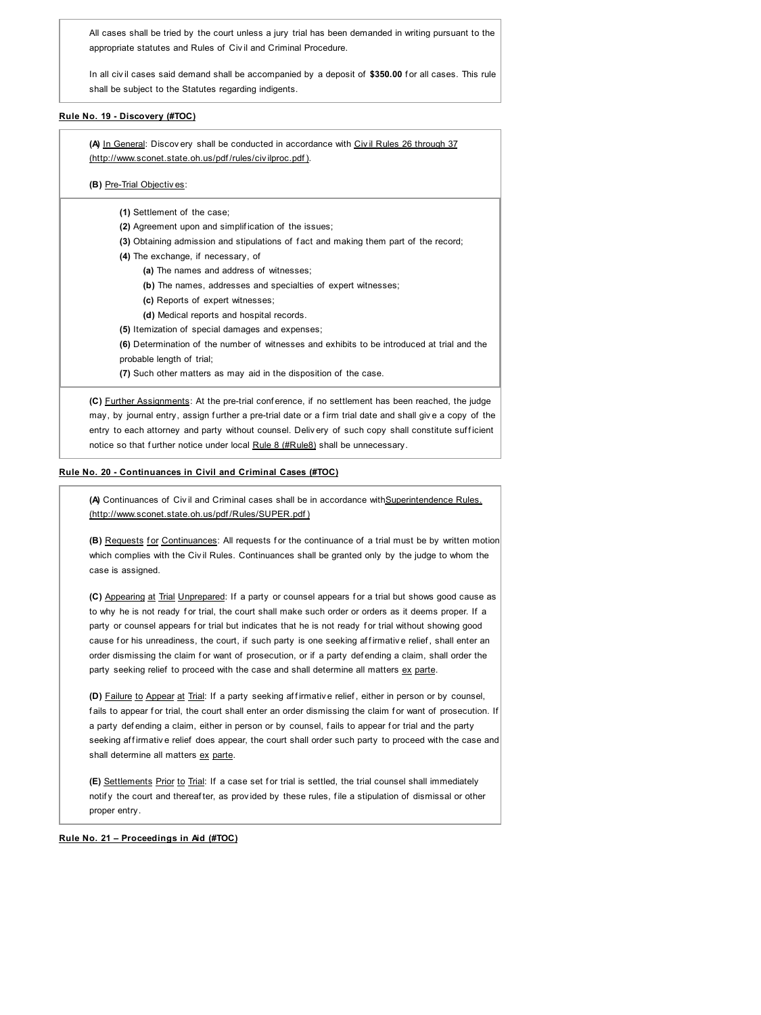All cases shall be tried by the court unless a jury trial has been demanded in writing pursuant to the appropriate statutes and Rules of Civ il and Criminal Procedure.

In all civil cases said demand shall be accompanied by a deposit of \$350.00 for all cases. This rule shall be subject to the Statutes regarding indigents.

# **Rule No. 19 - Discovery (#TOC)**

**(A)** In General: Discov ery shall be conducted in accordance with Civ il Rules 26 through 37 (http://www.sconet.state.oh.us/pdf /rules/civ ilproc.pdf ).

## **(B)** Pre-Trial Objectiv es:

- **(1)** Settlement of the case;
- **(2)** Agreement upon and simplif ication of the issues;
- **(3)** Obtaining admission and stipulations of f act and making them part of the record;
- **(4)** The exchange, if necessary, of
	- **(a)** The names and address of witnesses;
	- **(b)** The names, addresses and specialties of expert witnesses;
	- **(c)** Reports of expert witnesses;
	- **(d)** Medical reports and hospital records.
- **(5)** Itemization of special damages and expenses;
- **(6)** Determination of the number of witnesses and exhibits to be introduced at trial and the probable length of trial;
- **(7)** Such other matters as may aid in the disposition of the case.

**(C)** Further Assignments: At the pre-trial conf erence, if no settlement has been reached, the judge may, by journal entry, assign further a pre-trial date or a firm trial date and shall give a copy of the entry to each attorney and party without counsel. Delivery of such copy shall constitute sufficient notice so that further notice under local Rule 8 (#Rule8) shall be unnecessary.

## **Rule No. 20 - Continuances in Civil and Criminal Cases (#TOC)**

**(A)** Continuances of Civ il and Criminal cases shall be in accordance withSuperintendence Rules. (http://www.sconet.state.oh.us/pdf /Rules/SUPER.pdf )

**(B)** Requests for Continuances: All requests for the continuance of a trial must be by written motion which complies with the Civil Rules. Continuances shall be granted only by the judge to whom the case is assigned.

**(C)** Appearing at Trial Unprepared: If a party or counsel appears f or a trial but shows good cause as to why he is not ready for trial, the court shall make such order or orders as it deems proper. If a party or counsel appears for trial but indicates that he is not ready for trial without showing good cause for his unreadiness, the court, if such party is one seeking affirmative relief, shall enter an order dismissing the claim for want of prosecution, or if a party defending a claim, shall order the party seeking relief to proceed with the case and shall determine all matters ex parte.

**(D)** Failure to Appear at Trial: If a party seeking affirmative relief, either in person or by counsel, fails to appear for trial, the court shall enter an order dismissing the claim for want of prosecution. If a party defending a claim, either in person or by counsel, fails to appear for trial and the party seeking af firmative relief does appear, the court shall order such party to proceed with the case and shall determine all matters ex parte.

**(E)** Settlements Prior to Trial: If a case set for trial is settled, the trial counsel shall immediately notify the court and thereaf ter, as provided by these rules, file a stipulation of dismissal or other proper entry.

**Rule No. 21 – Proceedings in Aid (#TOC)**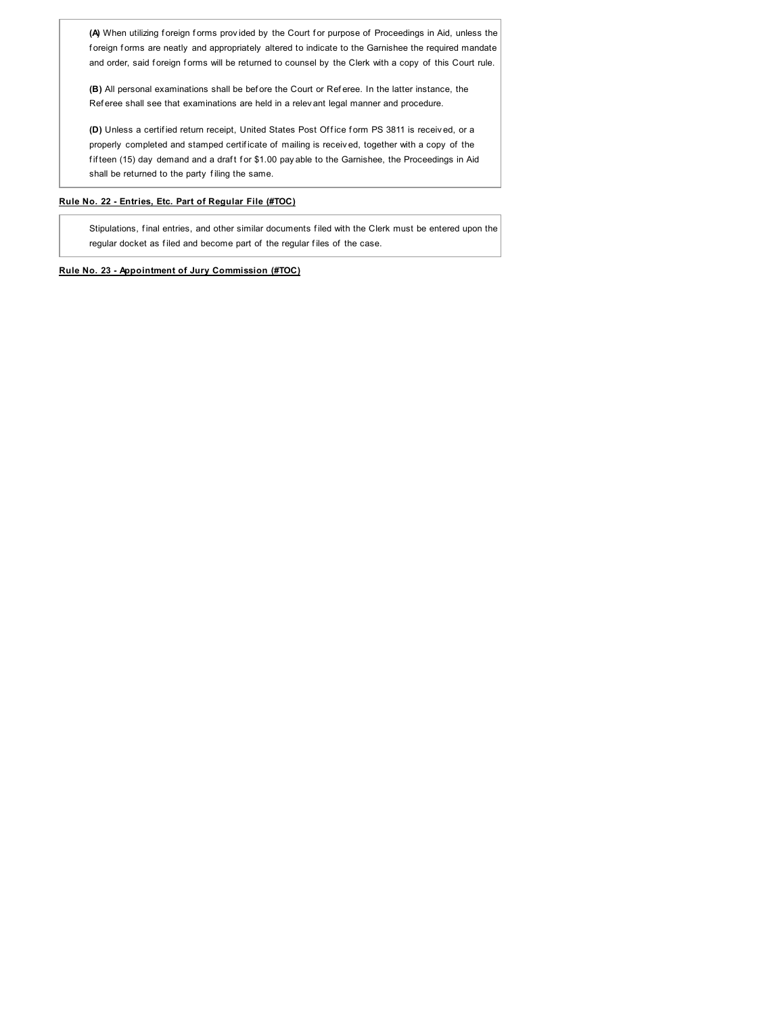(A) When utilizing foreign forms provided by the Court for purpose of Proceedings in Aid, unless the foreign forms are neatly and appropriately altered to indicate to the Garnishee the required mandate and order, said foreign forms will be returned to counsel by the Clerk with a copy of this Court rule.

**(B)** All personal examinations shall be bef ore the Court or Ref eree. In the latter instance, the Ref eree shall see that examinations are held in a relev ant legal manner and procedure.

(D) Unless a certified return receipt, United States Post Office form PS 3811 is received, or a properly completed and stamped certif icate of mailing is receiv ed, together with a copy of the fifteen (15) day demand and a draft for \$1.00 pay able to the Garnishee, the Proceedings in Aid shall be returned to the party f iling the same.

# **Rule No. 22 - Entries, Etc. Part of Regular File (#TOC)**

Stipulations, f inal entries, and other similar documents f iled with the Clerk must be entered upon the regular docket as filed and become part of the regular files of the case.

# **Rule No. 23 - Appointment of Jury Commission (#TOC)**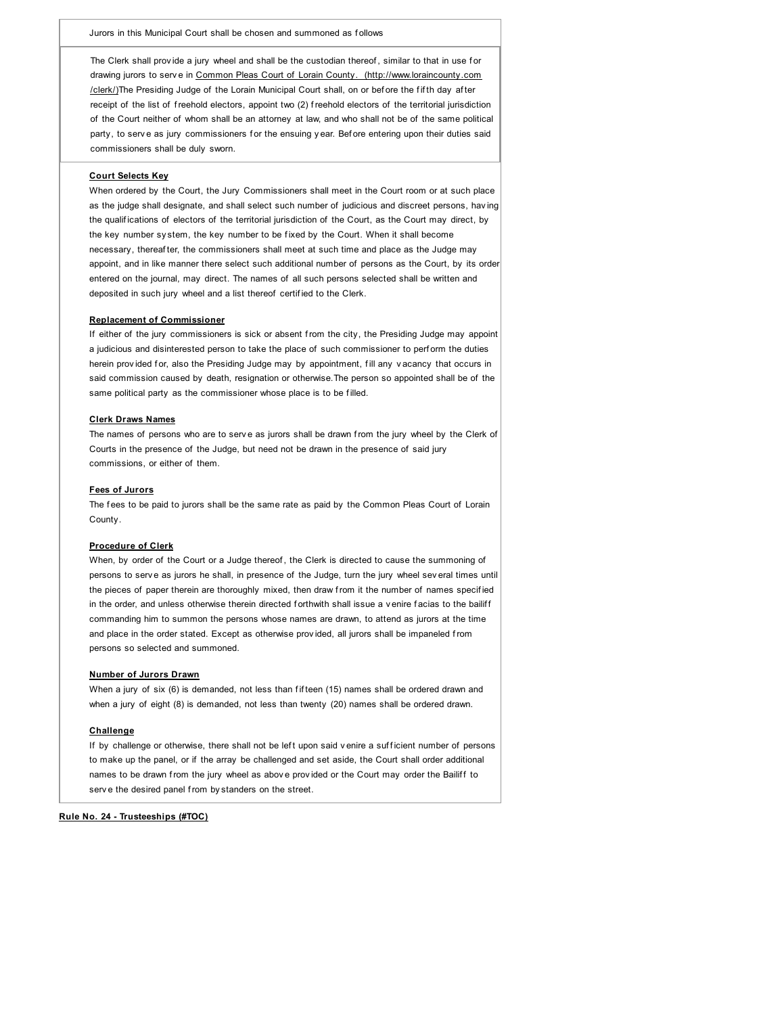The Clerk shall provide a jury wheel and shall be the custodian thereof, similar to that in use for drawing jurors to serve in Common Pleas Court of Lorain County. (http://www.loraincounty.com /clerk/)The Presiding Judge of the Lorain Municipal Court shall, on or before the fifth day after receipt of the list of freehold electors, appoint two (2) freehold electors of the territorial jurisdiction of the Court neither of whom shall be an attorney at law, and who shall not be of the same political party, to serve as jury commissioners for the ensuing year. Before entering upon their duties said commissioners shall be duly sworn.

## **Court Selects Key**

When ordered by the Court, the Jury Commissioners shall meet in the Court room or at such place as the judge shall designate, and shall select such number of judicious and discreet persons, hav ing the qualif ications of electors of the territorial jurisdiction of the Court, as the Court may direct, by the key number sy stem, the key number to be f ixed by the Court. When it shall become necessary, thereaf ter, the commissioners shall meet at such time and place as the Judge may appoint, and in like manner there select such additional number of persons as the Court, by its order entered on the journal, may direct. The names of all such persons selected shall be written and deposited in such jury wheel and a list thereof certif ied to the Clerk.

#### **Replacement of Commissioner**

If either of the jury commissioners is sick or absent from the city, the Presiding Judge may appoint a judicious and disinterested person to take the place of such commissioner to perf orm the duties herein provided for, also the Presiding Judge may by appointment, fill any vacancy that occurs in said commission caused by death, resignation or otherwise.The person so appointed shall be of the same political party as the commissioner whose place is to be f illed.

#### **Clerk Draws Names**

The names of persons who are to serve as jurors shall be drawn from the jury wheel by the Clerk of Courts in the presence of the Judge, but need not be drawn in the presence of said jury commissions, or either of them.

## **Fees of Jurors**

The fees to be paid to jurors shall be the same rate as paid by the Common Pleas Court of Lorain County.

## **Procedure of Clerk**

When, by order of the Court or a Judge thereof, the Clerk is directed to cause the summoning of persons to serv e as jurors he shall, in presence of the Judge, turn the jury wheel sev eral times until the pieces of paper therein are thoroughly mixed, then draw from it the number of names specified in the order, and unless otherwise therein directed forthwith shall issue a v enire facias to the bailiff commanding him to summon the persons whose names are drawn, to attend as jurors at the time and place in the order stated. Except as otherwise provided, all jurors shall be impaneled from persons so selected and summoned.

## **Number of Jurors Drawn**

When a jury of six (6) is demanded, not less than fifteen (15) names shall be ordered drawn and when a jury of eight (8) is demanded, not less than twenty (20) names shall be ordered drawn.

#### **Challenge**

If by challenge or otherwise, there shall not be left upon said v enire a sufficient number of persons to make up the panel, or if the array be challenged and set aside, the Court shall order additional names to be drawn from the jury wheel as above provided or the Court may order the Bailiff to serve the desired panel from by standers on the street.

## **Rule No. 24 - Trusteeships (#TOC)**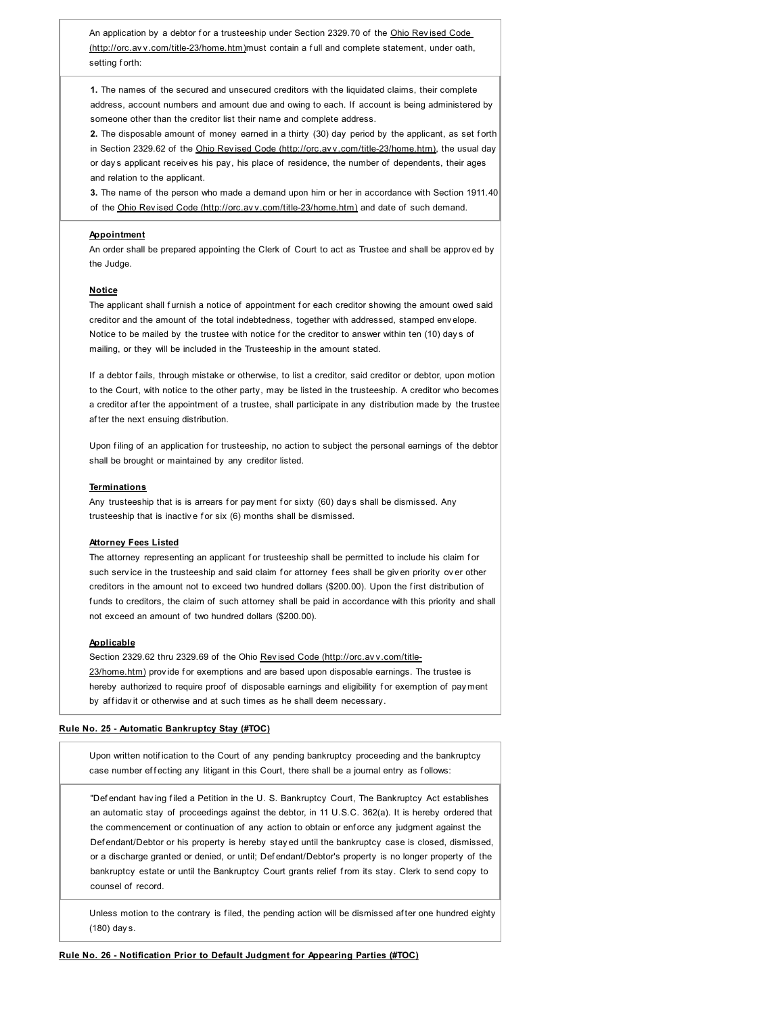An application by a debtor for a trusteeship under Section 2329.70 of the Ohio Revised Code (http://orc.av v.com/title-23/home.htm)must contain a f ull and complete statement, under oath, setting forth:

**1.** The names of the secured and unsecured creditors with the liquidated claims, their complete address, account numbers and amount due and owing to each. If account is being administered by someone other than the creditor list their name and complete address.

2. The disposable amount of money earned in a thirty (30) day period by the applicant, as set forth in Section 2329.62 of the Ohio Rev ised Code (http://orc.av v.com/title-23/home.htm), the usual day or day s applicant receiv es his pay, his place of residence, the number of dependents, their ages and relation to the applicant.

**3.** The name of the person who made a demand upon him or her in accordance with Section 1911.40 of the Ohio Rev ised Code (http://orc.av v.com/title-23/home.htm) and date of such demand.

## **Appointment**

An order shall be prepared appointing the Clerk of Court to act as Trustee and shall be approv ed by the Judge.

## **Notice**

The applicant shall furnish a notice of appointment for each creditor showing the amount owed said creditor and the amount of the total indebtedness, together with addressed, stamped env elope. Notice to be mailed by the trustee with notice for the creditor to answer within ten (10) days of mailing, or they will be included in the Trusteeship in the amount stated.

If a debtor fails, through mistake or otherwise, to list a creditor, said creditor or debtor, upon motion to the Court, with notice to the other party, may be listed in the trusteeship. A creditor who becomes a creditor after the appointment of a trustee, shall participate in any distribution made by the trustee af ter the next ensuing distribution.

Upon filing of an application for trusteeship, no action to subject the personal earnings of the debtor shall be brought or maintained by any creditor listed.

#### **Terminations**

Any trusteeship that is is arrears for payment for sixty (60) days shall be dismissed. Any trusteeship that is inactive for six (6) months shall be dismissed.

#### **Attorney Fees Listed**

The attorney representing an applicant for trusteeship shall be permitted to include his claim for such service in the trusteeship and said claim for attorney fees shall be given priority over other creditors in the amount not to exceed two hundred dollars (\$200.00). Upon the first distribution of funds to creditors, the claim of such attorney shall be paid in accordance with this priority and shall not exceed an amount of two hundred dollars (\$200.00).

#### **Applicable**

Section 2329.62 thru 2329.69 of the Ohio Rev ised Code (http://orc.av v.com/title-23/home.htm) provide for exemptions and are based upon disposable earnings. The trustee is hereby authorized to require proof of disposable earnings and eligibility for exemption of payment by affidav it or otherwise and at such times as he shall deem necessary.

## **Rule No. 25 - Automatic Bankruptcy Stay (#TOC)**

Upon written notif ication to the Court of any pending bankruptcy proceeding and the bankruptcy case number effecting any litigant in this Court, there shall be a journal entry as follows:

"Def endant hav ing f iled a Petition in the U. S. Bankruptcy Court, The Bankruptcy Act establishes an automatic stay of proceedings against the debtor, in 11 U.S.C. 362(a). It is hereby ordered that the commencement or continuation of any action to obtain or enf orce any judgment against the Def endant/Debtor or his property is hereby stay ed until the bankruptcy case is closed, dismissed, or a discharge granted or denied, or until; Def endant/Debtor's property is no longer property of the bankruptcy estate or until the Bankruptcy Court grants relief f rom its stay. Clerk to send copy to counsel of record.

Unless motion to the contrary is filed, the pending action will be dismissed after one hundred eighty (180) day s.